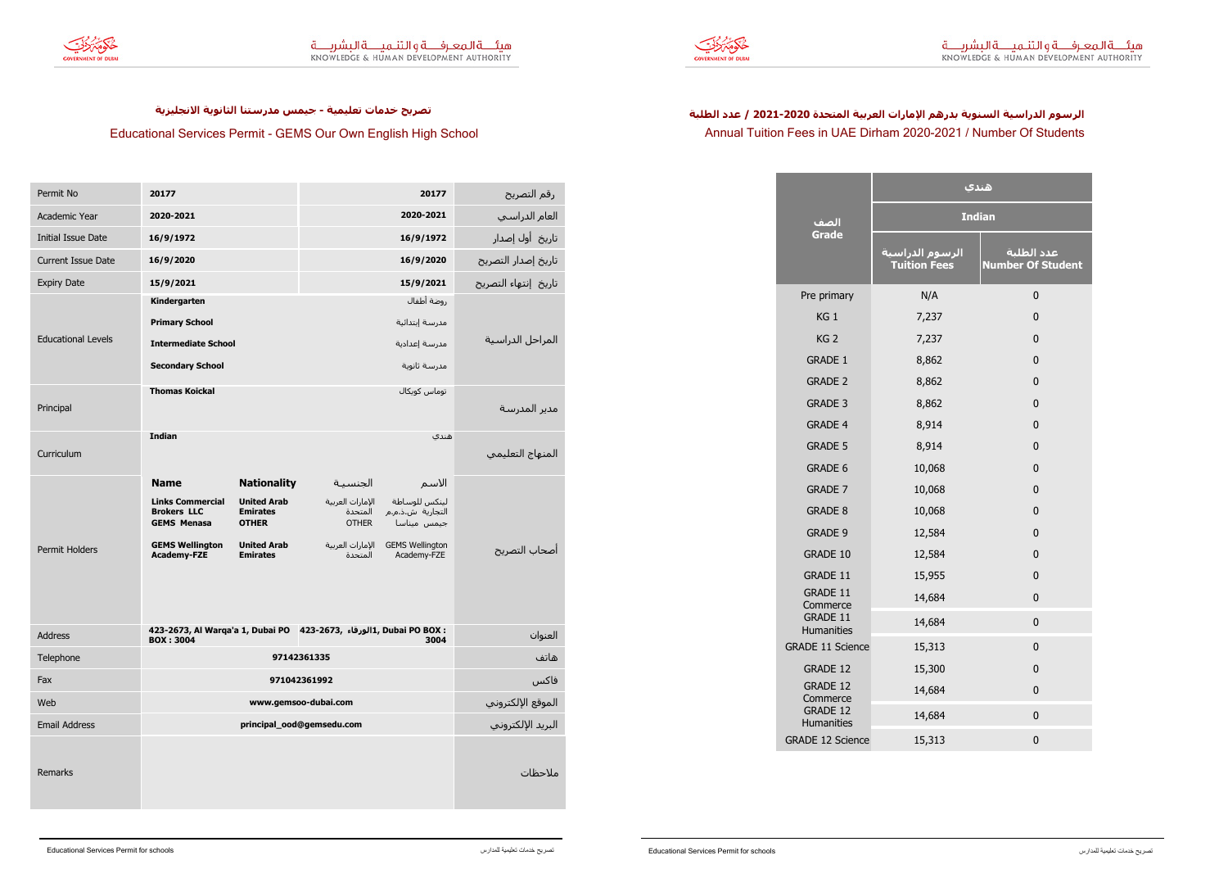



**Educational Services Permit - GEMS Our Own English High School**

<mark>تصريح خدمات تعليمية - جيمس مدرستنا الثانوية الانجليزية</mark>

## Annual Tuition Fees in UAE Dirham 2020-2021 / Number Of Students الرسوم الدراسية السنوية بدرهم الإمارات العربية المتحدة 2020-2021 / عدد الطلبة

| Permit No                 | 20177                                                                                                        |                                       |                             | 20177                                  | رقم التصريح          |
|---------------------------|--------------------------------------------------------------------------------------------------------------|---------------------------------------|-----------------------------|----------------------------------------|----------------------|
| Academic Year             | 2020-2021                                                                                                    |                                       |                             | 2020-2021                              | العام الدراسي        |
| <b>Initial Issue Date</b> | 16/9/1972                                                                                                    |                                       |                             | 16/9/1972                              | تاريخ أول إصدار      |
| <b>Current Issue Date</b> | 16/9/2020                                                                                                    |                                       |                             | 16/9/2020                              | تاريخ إصدار التصريح  |
| <b>Expiry Date</b>        | 15/9/2021                                                                                                    |                                       |                             | 15/9/2021                              | تاريخ إنتهاء التصريح |
|                           | Kindergarten                                                                                                 |                                       |                             | روضة أطفال                             |                      |
|                           | <b>Primary School</b>                                                                                        |                                       | مدرسة إبتدائية              |                                        |                      |
| <b>Educational Levels</b> | <b>Intermediate School</b>                                                                                   |                                       | مدرسة إعدادية               |                                        | المراحل الدراسية     |
|                           | <b>Secondary School</b>                                                                                      |                                       |                             | مدرسة ثانوية                           |                      |
|                           | <b>Thomas Koickal</b>                                                                                        |                                       |                             | توماس كويكال                           |                      |
| Principal                 |                                                                                                              |                                       |                             |                                        | مدير المدرسة         |
|                           | <b>Indian</b>                                                                                                |                                       |                             | هندي                                   |                      |
| Curriculum                |                                                                                                              |                                       |                             |                                        | المنهاج التعليمي     |
|                           | <b>Name</b>                                                                                                  | <b>Nationality</b>                    | الجنسية                     | الاسم                                  |                      |
|                           | <b>Links Commercial</b><br><b>Brokers LLC</b>                                                                | <b>United Arab</b><br><b>Emirates</b> | الإمارات العربية<br>المتحدة | لينكس للوساطة<br>التجارية ش.ذ.م.م      |                      |
|                           | <b>GEMS Menasa</b>                                                                                           | <b>OTHER</b>                          | <b>OTHER</b>                | جيمس ميناسا                            |                      |
| <b>Permit Holders</b>     | <b>GEMS Wellington</b><br><b>Academy-FZE</b>                                                                 | <b>United Arab</b><br><b>Emirates</b> | الإمارات العربية<br>المتحدة | <b>GEMS Wellington</b><br>Academy-FZE  | أصحاب التصريح        |
|                           |                                                                                                              |                                       |                             |                                        |                      |
|                           |                                                                                                              |                                       |                             |                                        |                      |
|                           |                                                                                                              |                                       |                             |                                        |                      |
| Address                   | 423-2673, Al Warqa'a 1, Dubai PO 423-2673, الورقاء: 423-2673, Al Warqa'a 1, Dubai PO BOX<br><b>BOX: 3004</b> |                                       |                             | 3004                                   | العنوان              |
| Telephone                 | 97142361335                                                                                                  |                                       |                             | هاتف                                   |                      |
| Fax                       | 971042361992                                                                                                 |                                       |                             | فاكس                                   |                      |
| Web                       | www.gemsoo-dubai.com                                                                                         |                                       |                             |                                        |                      |
| <b>Email Address</b>      | principal_ood@gemsedu.com                                                                                    |                                       |                             | الموقع الإلكتروني<br>البريد الإلكتروني |                      |
|                           |                                                                                                              |                                       |                             |                                        |                      |
| Remarks                   |                                                                                                              |                                       |                             |                                        | ملاحظات              |
|                           |                                                                                                              |                                       |                             |                                        |                      |
|                           |                                                                                                              |                                       |                             |                                        |                      |

|                               | هندي                                                |                                        |  |  |
|-------------------------------|-----------------------------------------------------|----------------------------------------|--|--|
| الصف                          | <b>Indian</b>                                       |                                        |  |  |
| Grade                         | <mark>الرسوم الدراسية</mark><br><b>Tuition Fees</b> | عدد الطلبة<br><b>Number Of Student</b> |  |  |
| Pre primary                   | N/A                                                 | $\mathbf 0$                            |  |  |
| KG <sub>1</sub>               | 7,237                                               | $\mathbf 0$                            |  |  |
| KG <sub>2</sub>               | 7,237                                               | $\mathbf 0$                            |  |  |
| <b>GRADE 1</b>                | 8,862                                               | $\mathbf 0$                            |  |  |
| <b>GRADE 2</b>                | 8,862                                               | $\mathbf 0$                            |  |  |
| <b>GRADE 3</b>                | 8,862                                               | $\mathbf 0$                            |  |  |
| <b>GRADE 4</b>                | 8,914                                               | $\mathbf 0$                            |  |  |
| <b>GRADE 5</b>                | 8,914                                               | $\mathbf 0$                            |  |  |
| <b>GRADE 6</b>                | 10,068                                              | $\mathbf 0$                            |  |  |
| <b>GRADE 7</b>                | 10,068                                              | $\mathbf 0$                            |  |  |
| <b>GRADE 8</b>                | 10,068                                              | $\mathbf 0$                            |  |  |
| <b>GRADE 9</b>                | 12,584                                              | $\mathbf 0$                            |  |  |
| <b>GRADE 10</b>               | 12,584                                              | $\mathbf 0$                            |  |  |
| <b>GRADE 11</b>               | 15,955                                              | $\mathbf 0$                            |  |  |
| <b>GRADE 11</b><br>Commerce   | 14,684                                              | $\mathbf 0$                            |  |  |
| <b>GRADE 11</b><br>Humanities | 14,684                                              | $\mathbf 0$                            |  |  |
| <b>GRADE 11 Science</b>       | 15,313                                              | $\mathbf 0$                            |  |  |
| <b>GRADE 12</b>               | 15,300                                              | $\mathbf 0$                            |  |  |
| <b>GRADE 12</b><br>Commerce   | 14,684                                              | $\mathbf 0$                            |  |  |
| <b>GRADE 12</b><br>Humanities | 14,684                                              | $\mathbf 0$                            |  |  |
| <b>GRADE 12 Science</b>       | 15,313                                              | $\pmb{0}$                              |  |  |
|                               |                                                     |                                        |  |  |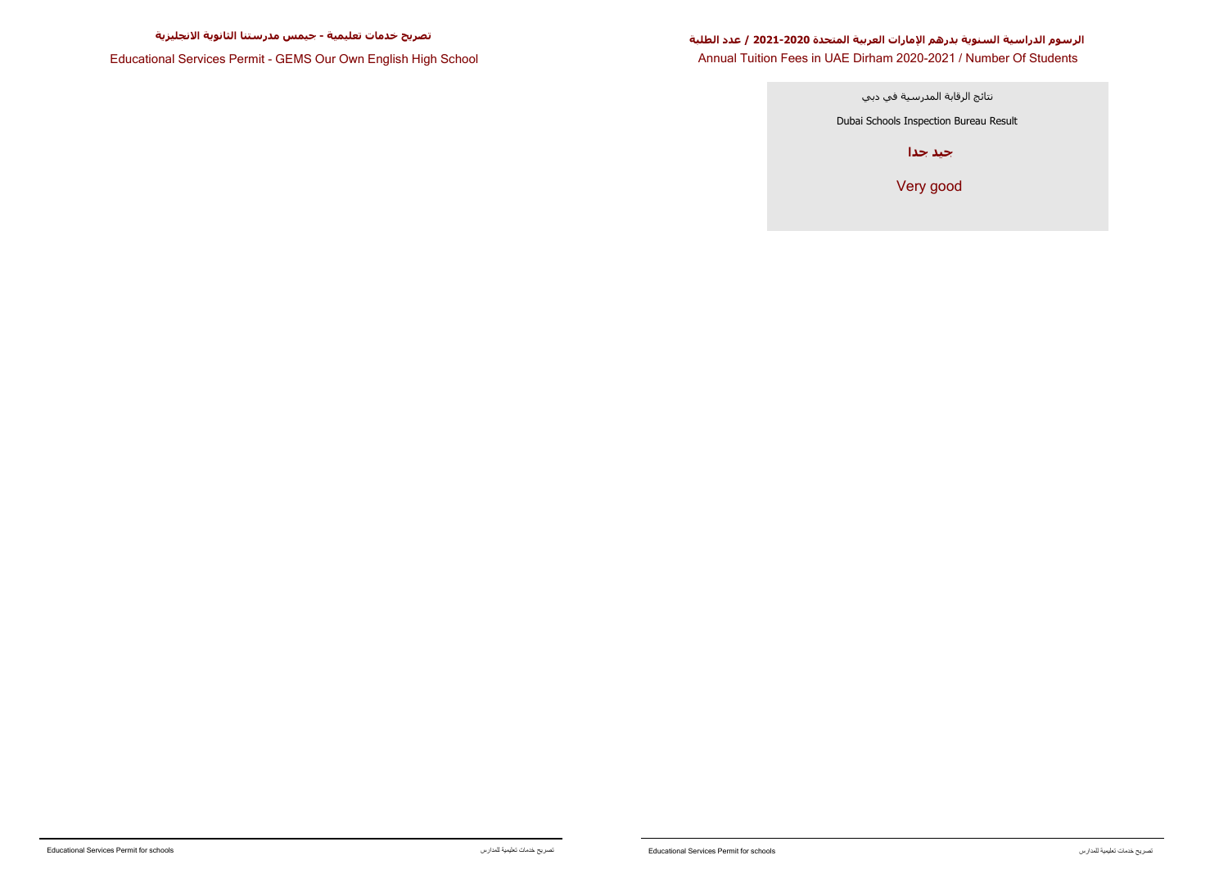**Educational Services Permit - GEMS Our Own English High School**

## **Annual Tuition Fees in UAE Dirham 2020-2021 / Number Of Students** الرسوم الدراسية السنوية بدرهم الإمارات العربية المتحدة 2020-2021 / عدد الطلبة

**Very good**

Dubai Schools Inspection Bureau Result

**احید جدا** 

نتائج الرقابة المدرسية في دبي